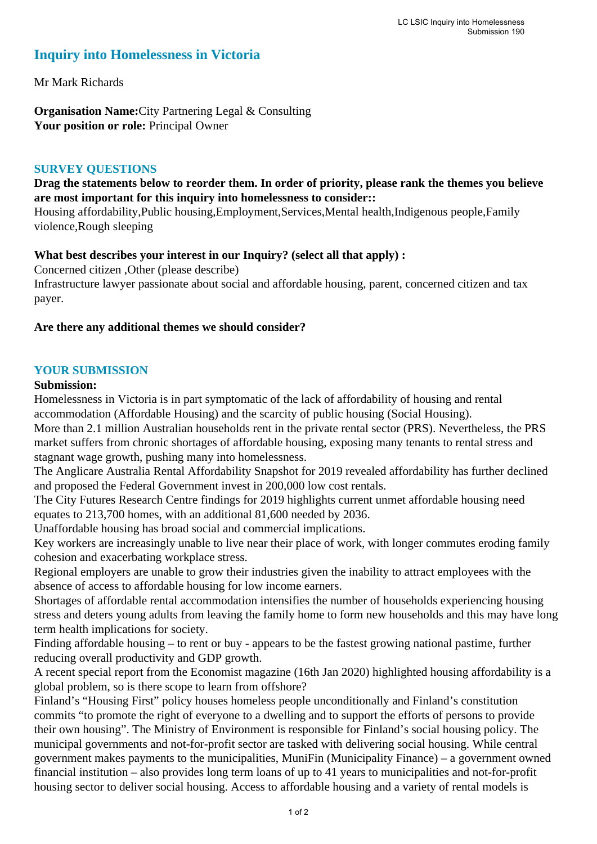# **Inquiry into Homelessness in Victoria**

Mr Mark Richards

**Organisation Name:**City Partnering Legal & Consulting Your position or role: Principal Owner

#### **SURVEY QUESTIONS**

## **Drag the statements below to reorder them. In order of priority, please rank the themes you believe are most important for this inquiry into homelessness to consider::**

Housing affordability,Public housing,Employment,Services,Mental health,Indigenous people,Family violence,Rough sleeping

#### **What best describes your interest in our Inquiry? (select all that apply) :**

Concerned citizen ,Other (please describe) Infrastructure lawyer passionate about social and affordable housing, parent, concerned citizen and tax payer.

#### **Are there any additional themes we should consider?**

#### **YOUR SUBMISSION**

#### **Submission:**

Homelessness in Victoria is in part symptomatic of the lack of affordability of housing and rental accommodation (Affordable Housing) and the scarcity of public housing (Social Housing).

More than 2.1 million Australian households rent in the private rental sector (PRS). Nevertheless, the PRS market suffers from chronic shortages of affordable housing, exposing many tenants to rental stress and stagnant wage growth, pushing many into homelessness.

The Anglicare Australia Rental Affordability Snapshot for 2019 revealed affordability has further declined and proposed the Federal Government invest in 200,000 low cost rentals.

The City Futures Research Centre findings for 2019 highlights current unmet affordable housing need equates to 213,700 homes, with an additional 81,600 needed by 2036.

Unaffordable housing has broad social and commercial implications.

Key workers are increasingly unable to live near their place of work, with longer commutes eroding family cohesion and exacerbating workplace stress.

Regional employers are unable to grow their industries given the inability to attract employees with the absence of access to affordable housing for low income earners.

Shortages of affordable rental accommodation intensifies the number of households experiencing housing stress and deters young adults from leaving the family home to form new households and this may have long term health implications for society.

Finding affordable housing – to rent or buy - appears to be the fastest growing national pastime, further reducing overall productivity and GDP growth.

A recent special report from the Economist magazine (16th Jan 2020) highlighted housing affordability is a global problem, so is there scope to learn from offshore?

Finland's "Housing First" policy houses homeless people unconditionally and Finland's constitution commits "to promote the right of everyone to a dwelling and to support the efforts of persons to provide their own housing". The Ministry of Environment is responsible for Finland's social housing policy. The municipal governments and not-for-profit sector are tasked with delivering social housing. While central government makes payments to the municipalities, MuniFin (Municipality Finance) – a government owned financial institution – also provides long term loans of up to 41 years to municipalities and not-for-profit housing sector to deliver social housing. Access to affordable housing and a variety of rental models is